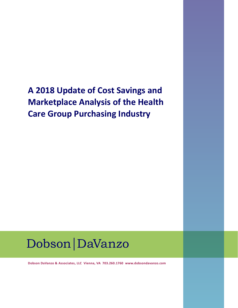**A 2018 Update of Cost Savings and Marketplace Analysis of the Health Care Group Purchasing Industry**

## Dobson | DaVanzo

**Dobson DaVanzo & Associates, LLC Vienna, VA 703.260.1760 www.dobsondavanzo.com**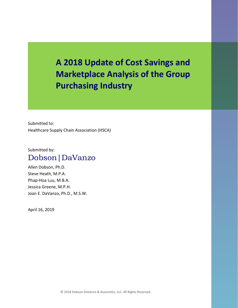**A 2018 Update of Cost Savings and Marketplace Analysis of the Group Purchasing Industry**

Submitted to: Healthcare Supply Chain Association (HSCA)

#### Submitted by: Dobson|DaVanzo

Allen Dobson, Ph.D. Steve Heath, M.P.A. Phap-Hoa Luu, M.B.A. Jessica Greene, M.P.H. Joan E. DaVanzo, Ph.D., M.S.W.

April 16, 2019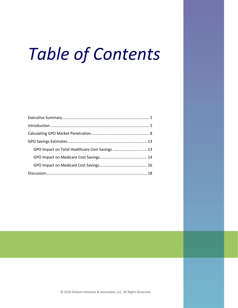# *Table of Contents*

| GPO Impact on Total Healthcare Cost Savings  13 |  |
|-------------------------------------------------|--|
|                                                 |  |
|                                                 |  |
|                                                 |  |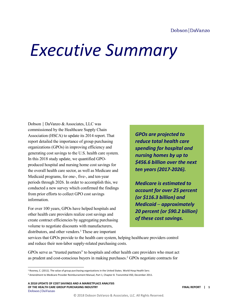#### Dobson DaVanzo

## <span id="page-3-0"></span>*Executive Summary*

Dobson │ DaVanzo & Associates, LLC was commissioned by the Healthcare Supply Chain Association (HSCA) to update its 2014 report. That report detailed the importance of group purchasing organizations (GPOs) in improving efficiency and generating cost savings to the U.S. health care system. In this 2018 study update, we quantified GPOproduced hospital and nursing home cost savings for the overall health care sector, as well as Medicare and Medicaid programs, for one-, five-, and ten-year periods through 2026. In order to accomplish this, we conducted a new survey which confirmed the findings from prior efforts to collect GPO cost savings information.

For over 100 years, GPOs have helped hospitals and other health care providers realize cost savings and create contract efficiencies by aggregating purchasing volume to negotiate discounts with manufacturers, distributors, and other vendors.<sup>1</sup> These are important

*GPOs are projected to reduce total health care spending for hospital and nursing homes by up to \$456.6 billion over the next ten years (2017-2026).* 

*Medicare is estimated to account for over 25 percent (or \$116.3 billion) and Medicaid ─ approximately 20 percent (or \$90.2 billion) of these cost savings.* 

services that GPOs provide to the health care system, helping healthcare providers control and reduce their non-labor supply-related purchasing costs.

GPOs serve as "trusted partners" to hospitals and other health care providers who must act as prudent and cost-conscious buyers in making purchases.<sup>2</sup> GPOs negotiate contracts for

l

<sup>&</sup>lt;sup>1</sup> Rooney, C. (2011). The value of group purchasing organizations in the United States. World Hosp Health Serv.

<sup>2</sup> Amendment to Medicare Provider Reimbursement Manual, Part 1, Chapter 8. Transmittal 450, December 2011.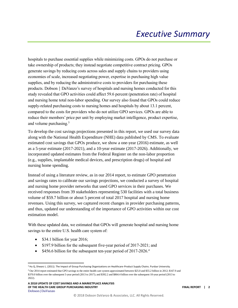hospitals to purchase essential supplies while minimizing costs. GPOs do not purchase or take ownership of products; they instead negotiate competitive contract pricing. GPOs generate savings by reducing costs across sales and supply chains to providers using economies of scale, increased negotiating power, expertise in purchasing high value supplies, and by reducing the administrative costs to providers for purchasing these products. Dobson | DaVanzo's survey of hospitals and nursing homes conducted for this study revealed that GPO activities could affect 59.6 percent (penetration rate) of hospital and nursing home total non-labor spending. Our survey also found that GPOs could reduce supply-related purchasing costs to nursing homes and hospitals by about 13.1 percent, compared to the costs for providers who do not utilize GPO services. GPOs are able to reduce their members' price per unit by employing market intelligence, product expertise, and volume purchasing. 3

To develop the cost savings projections presented in this report, we used our survey data along with the National Health Expenditure (NHE) data published by CMS. To evaluate estimated cost savings that GPOs produce, we show a one-year (2016) estimate, as well as a 5-year estimate (2017-2021), and a 10-year estimate (2017-2026). Additionally, we incorporated updated estimates from the Federal Register on the non-labor proportion (e.g., supplies, implantable medical devices, and prescription drugs) of hospital and nursing home spending.

Instead of using a literature review, as in our 2014 report, to estimate GPO penetration and savings rates to calibrate our savings projections, we conducted a survey of hospital and nursing home provider networks that used GPO services in their purchases. We received responses from 39 stakeholders representing 530 facilities with a total business volume of \$59.7 billion or about 5 percent of total 2017 hospital and nursing home revenues. Using this survey, we captured recent changes in provider purchasing patterns, and thus, updated our understanding of the importance of GPO activities within our cost estimation model.

With these updated data, we estimated that GPOs will generate hospital and nursing home savings to the entire U.S. health care system of:

- \$34.1 billion for year 2016;
- \$197.9 billion for the subsequent five-year period of 2017-2021; and
- \$456.6 billion for the subsequent ten-year period of 2017-2026.<sup>4</sup>

 $\overline{a}$ <sup>3</sup> Hu Q, Shwarz L. (2011). The Impact of Group Purchasing Organizations on Healthcare-Product Supply Chains. Purdue University.

<sup>4</sup> Our 2014 report estimated that GPO savings to the entire health care system approximated between \$25.0 and \$55.2 billion in 2012; \$167.9 and \$370.0 billion over the subsequent 5-year period (2013 to 2017); and \$392.2 and \$864.4 billion over the subsequent 10-year period (2013 to 2022).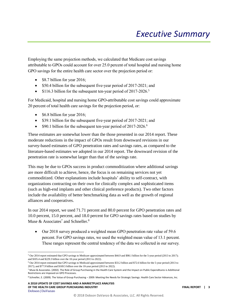Employing the same projection methods, we calculated that Medicare cost savings attributable to GPOs could account for over 25.0 percent of total hospital and nursing home GPO savings for the entire health care sector over the projection period or:

- \$8.7 billion for year 2016;
- \$50.4 billion for the subsequent five-year period of 2017-2021; and
- \$116.3 billion for the subsequent ten-year period of 2017-2026.<sup>5</sup>

For Medicaid, hospital and nursing home GPO-attributable cost savings could approximate 20 percent of total health care savings for the projection period, or:

- \$6.8 billion for year 2016;
- \$39.1 billion for the subsequent five-year period of 2017-2021; and
- \$90.1 billion for the subsequent ten-year period of 2017-2026.<sup>6</sup>

These estimates are somewhat lower than the those presented in our 2014 report. These moderate reductions in the impact of GPOs result from downward revisions in our survey-based estimates of GPO penetration rates and savings rates, as compared to the literature-based estimates we adopted in our 2014 report. The downward revision of the penetration rate is somewhat larger than that of the savings rate.

This may be due to GPOs success in product commoditization where additional savings are more difficult to achieve, hence, the focus is on remaining services not yet commoditized. Other explanations include hospitals' ability to self-contract, with organizations contracting on their own for clinically complex and sophisticated items (such as high-end implants and other clinical preference products). Two other factors include the availability of better benchmarking data as well as the growth of regional alliances and cooperatives.

In our 2014 report, we used 71.71 percent and 80.0 percent for GPO penetration rates and 10.0 percent, 15.0 percent, and 18.0 percent for GPO savings rates based on studies by Muse  $\&$  Associates<sup>7</sup> and Schneller.<sup>8</sup>

• Our 2018 survey produced a weighted mean GPO penetration rate value of 59.6 percent. For GPO savings rates, we used the weighted mean value of 13.1 percent. These ranges represent the central tendency of the data we collected in our survey.

l

<sup>5</sup> Our 2014 report estimated that GPO savings to Medicare approximated between \$44.9 and \$98.1 billion for the 5-year period (2013 to 2017); and \$105.4 and \$229.3 billion over the 10-year period (2013 to 2022).

<sup>6</sup> Our 2014 report estimated that GPO savings to Medicaid approximated between \$33.2 billion and \$72.6 billion for the 5-year period (2013 to 2017); and \$77.9 billion and \$169.5 billion over the 10-year period (2013 to 2022).

<sup>7</sup> Muse & Associates. (2002). The Role of Group Purchasing in the Health Care System and the Impact on Public Expenditures is Additional Restrictions are Imposed on GPO Processes.

<sup>8</sup> Schneller, E. (2009). The Value of Group Purchasing – 2009: Meeting the Needs for Strategic Savings. Health Care Sector Advances, Inc.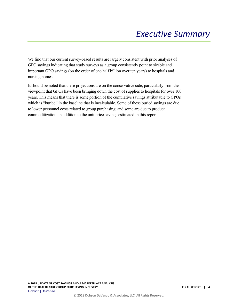We find that our current survey-based results are largely consistent with prior analyses of GPO savings indicating that study surveys as a group consistently point to sizable and important GPO savings (on the order of one half billion over ten years) to hospitals and nursing homes.

It should be noted that these projections are on the conservative side, particularly from the viewpoint that GPOs have been bringing down the cost of supplies to hospitals for over 100 years. This means that there is some portion of the cumulative savings attributable to GPOs which is "buried" in the baseline that is incalculable. Some of these buried savings are due to lower personnel costs related to group purchasing, and some are due to product commoditization, in addition to the unit price savings estimated in this report.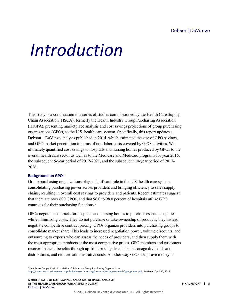# <span id="page-7-0"></span>*Introduction*

This study is a continuation in a series of studies commissioned by the Health Care Supply Chain Association (HSCA), formerly the Health Industry Group Purchasing Association (HIGPA), presenting marketplace analysis and cost savings projections of group purchasing organizations (GPOs) to the U.S. health care system. Specifically, this report updates a Dobson | DaVanzo analysis published in 2014, which estimated the size of GPO savings, and GPO market penetration in terms of non-labor costs covered by GPO activities. We ultimately quantified cost savings to hospitals and nursing homes produced by GPOs to the overall health care sector as well as to the Medicare and Medicaid programs for year 2016, the subsequent 5-year period of 2017-2021, and the subsequent 10-year period of 2017- 2026.

#### **Background on GPOs**

l

Group purchasing organizations play a significant role in the U.S. health care system, consolidating purchasing power across providers and bringing efficiency to sales supply chains, resulting in overall cost savings to providers and patients. Recent estimates suggest that there are over 600 GPOs, and that 96.0 to 98.0 percent of hospitals utilize GPO contracts for their purchasing functions.<sup>9</sup>

GPOs negotiate contracts for hospitals and nursing homes to purchase essential supplies while minimizing costs. They do not purchase or take ownership of products; they instead negotiate competitive contract pricing. GPOs organize providers into purchasing groups to consolidate market share. This leads to increased negotiation power, volume discounts, and outsourcing to experts who can assess the needs of providers, and then supply them with the most appropriate products at the most competitive prices. GPO members and customers receive financial benefits through up-front pricing discounts, patronage dividends and distributions, and reduced administrative costs. Another way GPOs help save money is

**A 2018 UPDATE OF COST SAVINGS AND A MARKETPLACE ANALYSIS OF THE HEALTH CARE GROUP PURCHASING INDUSTRY FINAL REPORT | 5** Dobson|DaVanzo

<sup>&</sup>lt;sup>9</sup> Healthcare Supply Chain Association. A Primer on Group Purchasing Organizations. [http://c.ymcdn.com/sites/www.supplychainassociation.org/resource/resmgr/research/gpo\\_primer.pdf.](http://c.ymcdn.com/sites/www.supplychainassociation.org/resource/resmgr/research/gpo_primer.pdf) Retrieved April 20, 2018.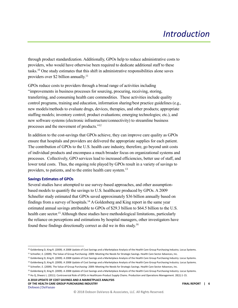through product standardization. Additionally, GPOs help to reduce administrative costs to providers, who would have otherwise been required to dedicate additional staff to these tasks.<sup>10</sup> One study estimates that this shift in administrative responsibilities alone saves providers over \$2 billion annually.<sup>11</sup>

GPOs reduce costs to providers through a broad range of activities including "improvements in business processes for sourcing, procuring, receiving, storing, transferring, and consuming health care commodities. These activities include quality control programs, training and education, information sharing/best practice guidelines (e.g., new models/methods to evaluate drugs, devices, therapies, and other products; appropriate staffing models; inventory control; product evaluations; emerging technologies; etc.), and new software systems (electronic infrastructure/connectivity) to streamline business processes and the movement of products."<sup>12</sup>

In addition to the cost-savings that GPOs achieve, they can improve care quality as GPOs ensure that hospitals and providers are delivered the appropriate supplies for each patient. The contribution of GPOs to the U.S. health care industry, therefore, go beyond unit costs of individual products and encompass a much broader focus on organizational systems and processes. Collectively, GPO services lead to increased efficiencies, better use of staff, and lower total costs. Thus, the ongoing role played by GPOs result in a variety of savings to providers, to patients, and to the entire health care system.<sup>13</sup>

#### **Savings Estimates of GPOs**

 $\overline{a}$ 

Several studies have attempted to use survey-based approaches, and other assumptionbased models to quantify the savings to U.S. healthcare produced by GPOs. A 2009 Schneller study estimated that GPOs saved approximately \$36 billion annually based on findings from a survey of hospitals.<sup>14</sup> A Goldenberg and King report in the same year estimated annual savings attributable to GPOs of \$29.3 billion to \$64.5 billion to the U.S. health care sector.<sup>15</sup> Although these studies have methodological limitations, particularly the reliance on perceptions and estimations by hospital managers, other investigators have found these findings directionally correct as did we in this study. 16

**A 2018 UPDATE OF COST SAVINGS AND A MARKETPLACE ANALYSIS OF THE HEALTH CARE GROUP PURCHASING INDUSTRY FINAL REPORT | 6** Dobson|DaVanzo

<sup>&</sup>lt;sup>10</sup> Goldenberg D, King R. (2009). A 2008 Update of Cost Savings and a Marketplace Analysis of the Health Care Group Purchasing Industry. Locus Systems.

<sup>11</sup> Schneller, E. (2009). The Value of Group Purchasing- 2009: Meeting the Needs for Strategic Savings. Health Care Sector Advances, Inc. <sup>12</sup> Goldenberg D, King R. (2009). A 2008 Update of Cost Savings and a Marketplace Analysis of the Health Care Group Purchasing Industry. Locus Systems.

<sup>&</sup>lt;sup>13</sup> Goldenberg D, King R. (2009). A 2008 Update of Cost Savings and a Marketplace Analysis of the Health Care Group Purchasing Industry. Locus Systems.

<sup>14</sup> Schneller, E. (2009). The Value of Group Purchasing- 2009: Meeting the Needs for Strategic Savings. Health Care Sector Advances, Inc.

<sup>&</sup>lt;sup>15</sup> Goldenberg D, King R. (2009). A 2008 Update of Cost Savings and a Marketplace Analysis of the Health Care Group Purchasing Industry. Locus Systems. <sup>16</sup> Hu Q, Shwarz L. (2011). Controversial Role of GPOs in Healthcare-Product Supply Chains. Production and Operations Management. 20(1):1-15.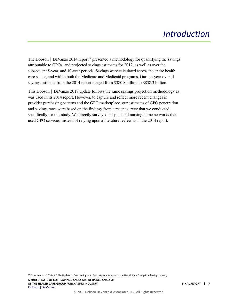The Dobson | DaVanzo 2014 report<sup>17</sup> presented a methodology for quantifying the savings attributable to GPOs, and projected savings estimates for 2012, as well as over the subsequent 5-year, and 10-year periods. Savings were calculated across the entire health care sector, and within both the Medicare and Medicaid programs. Our ten-year overall savings estimate from the 2014 report ranged from \$380.8 billion to \$838.3 billion.

This Dobson | DaVanzo 2018 update follows the same savings projection methodology as was used in its 2014 report. However, to capture and reflect more recent changes in provider purchasing patterns and the GPO marketplace, our estimates of GPO penetration and savings rates were based on the findings from a recent survey that we conducted specifically for this study. We directly surveyed hospital and nursing home networks that used GPO services, instead of relying upon a literature review as in the 2014 report.

**A 2018 UPDATE OF COST SAVINGS AND A MARKETPLACE ANALYSIS OF THE HEALTH CARE GROUP PURCHASING INDUSTRY FINAL REPORT | 7** Dobson|DaVanzo

 $\overline{a}$ 

<sup>&</sup>lt;sup>17</sup> Dobson et al. (2014). A 2014 Update of Cost Savings and Marketplace Analysis of the Health Care Group Purchasing Industry.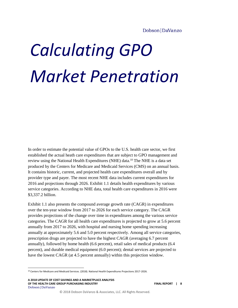<span id="page-10-0"></span>In order to estimate the potential value of GPOs to the U.S. health care sector, we first established the actual heath care expenditures that are subject to GPO management and review using the National Health Expenditures (NHE) data.<sup>18</sup> The NHE is a data set produced by the Centers for Medicare and Medicaid Services (CMS) on an annual basis. It contains historic, current, and projected health care expenditures overall and by provider type and payer. The most recent NHE data includes current expenditures for 2016 and projections through 2026. Exhibit 1.1 details health expenditures by various service categories. According to NHE data, total health care expenditures in 2016 were \$3,337.2 billion.

Exhibit 1.1 also presents the compound average growth rate (CAGR) in expenditures over the ten-year window from 2017 to 2026 for each service category. The CAGR provides projections of the change over time in expenditures among the various service categories. The CAGR for all health care expenditures is projected to grow at 5.6 percent annually from 2017 to 2026, with hospital and nursing home spending increasing annually at approximately 5.6 and 5.0 percent respectively. Among all service categories, prescription drugs are projected to have the highest CAGR (averaging 6.7 percent annually), followed by home health (6.6 percent), retail sales of medical products (6.4 percent), and durable medical equipment (6.0 percent); dental services are projected to have the lowest CAGR (at 4.5 percent annually) within this projection window.

**A 2018 UPDATE OF COST SAVINGS AND A MARKETPLACE ANALYSIS OF THE HEALTH CARE GROUP PURCHASING INDUSTRY FINAL REPORT | 8** Dobson|DaVanzo

l

<sup>18</sup> Centers for Medicare and Medicaid Services. (2018). National Health Expenditures Projections 2017-2026.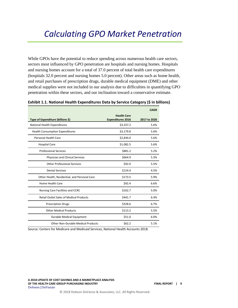While GPOs have the potential to reduce spending across numerous health care sectors, sectors most influenced by GPO penetration are hospitals and nursing homes. Hospitals and nursing homes account for a total of 37.0 percent of total health care expenditures (hospitals 32.0 percent and nursing homes 5.0 percent). Other areas such as home health, and retail purchases of prescription drugs, durable medical equipment (DME) and other medical supplies were not included in our analysis due to difficulties in quantifying GPO penetration within these sectors, and our inclination toward a conservative estimate.

|                                                |                          | <b>CAGR</b>  |
|------------------------------------------------|--------------------------|--------------|
|                                                | <b>Health Care</b>       |              |
| Type of Expenditure (billions \$)              | <b>Expenditures 2016</b> | 2017 to 2026 |
| National Health Expenditures                   | \$3,337.2                | 5.6%         |
| <b>Health Consumption Expenditures</b>         | \$3,179.8                | 5.6%         |
| Personal Health Care                           | \$2,834.0                | 5.6%         |
| <b>Hospital Care</b>                           | \$1,082.5                | 5.6%         |
| <b>Professional Services</b>                   | \$881.2                  | 5.2%         |
| Physician and Clinical Services                | \$664.9                  | 5.3%         |
| <b>Other Professional Services</b>             | \$92.0                   | 5.5%         |
| <b>Dental Services</b>                         | \$124.4                  | 4.5%         |
| Other Health, Residential, and Personal Care   | \$173.5                  | 5.9%         |
| Home Health Care                               | \$92.4                   | 6.6%         |
| Nursing Care Facilities and CCRC               | \$162.7                  | 5.0%         |
| <b>Retail Outlet Sales of Medical Products</b> | \$441.7                  | 6.4%         |
| <b>Prescription Drugs</b>                      | \$328.6                  | 6.7%         |
| <b>Other Medical Products</b>                  | \$113.2                  | 5.5%         |
| Durable Medical Equipment                      | \$51.0                   | 6.0%         |
| <b>Other Non-Durable Medical Products</b>      | \$62.2                   | 5.1%         |

#### **Exhibit 1.1. National Health Expenditures Data by Service Category (\$ in billions)**

Source: Centers for Medicare and Medicaid Services, National Health Accounts 2018.

**A 2018 UPDATE OF COST SAVINGS AND A MARKETPLACE ANALYSIS OF THE HEALTH CARE GROUP PURCHASING INDUSTRY FINAL REPORT | 9** Dobson|DaVanzo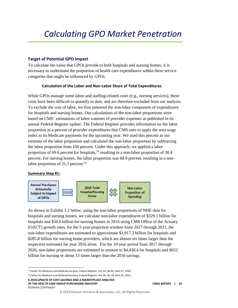#### **Target of Potential GPO Impact**

To calculate the value that GPOs provide to both hospitals and nursing homes, it is necessary to understand the proportion of health care expenditures within these service categories that might be influenced by GPOs.

#### **Calculation of the Labor and Non-Labor Share of Total Expenditures**

While GPOs manage some labor-and staffing-related costs (e.g., nursing services), these costs have been difficult to quantify to date, and are therefore excluded from our analysis. To exclude the cost of labor, we first removed the non-labor component of expenditures for hospitals and nursing homes. Our calculations of the non-labor proportions were based on CMS' estimations of labor contents of provider expenses as published in its annual Federal Register update. The Federal Register provides information on the labor proportion as a percent of provider expenditures that CMS uses to apply the area wage index to its Medicare payments for the upcoming year. We used this percent as our estimate of the labor proportion and calculated the non-labor proportion by subtracting the labor proportion from 100 percent. Under this approach, we applied a labor proportion of 69.6 percent for hospitals,<sup>19</sup> resulting in a non-labor proportion of 30.4 percent. For nursing homes, the labor proportion was 68.9 percent, resulting in a nonlabor proportion of 31.1 percent.<sup>20</sup>

#### **Summary Step #1:**

l



As shown in Exhibit 1.2 below, using the non-labor proportions of NHE data for hospitals and nursing homes, we calculate non-labor expenditures of \$329.1 billion for hospitals and \$50.6 billion for nursing homes in 2016 using CMS Office of the Actuary (OACT) growth rates, for the 5-year projection window from 2017 through 2021, the non-labor expenditures are estimated to approximate \$1,917.2 billion for hospitals and \$285.8 billion for nursing home providers, which are almost six times larger than the respective estimates for year 2016 alone. For the 10-year period from 2017 through 2026, non-labor proportions are estimated to amount to \$4,430.4 for hospitals and \$652 billion for nursing or about 13 times larger than the 2016 savings.

<sup>20</sup> Center for Medicare and Medicaid Services, Federal Register, Vol. 81, No 79, April 25, 2016.

**A 2018 UPDATE OF COST SAVINGS AND A MARKETPLACE ANALYSIS OF THE HEALTH CARE GROUP PURCHASING INDUSTRY FINAL REPORT | 10** Dobson|DaVanzo

<sup>&</sup>lt;sup>19</sup> Center for Medicare and Medicaid Services, Federal Register, Vol. 81, No 81, April 27, 2016.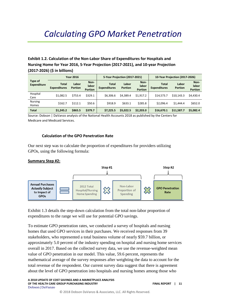#### **Exhibit 1.2. Calculation of the Non-Labor Share of Expenditures for Hospitals and Nursing Home for Year 2016, 5-Year Projection (2017-2021), and 10-year Projection (2017-2026) (\$ in billions)**

|                               | <b>Year 2016</b>                    |                         |                                 | 5-Year Projection (2017-2021)       |                         |                                 |                                     | 10-Year Projection (2017-2026) |                                 |
|-------------------------------|-------------------------------------|-------------------------|---------------------------------|-------------------------------------|-------------------------|---------------------------------|-------------------------------------|--------------------------------|---------------------------------|
| Type of<br><b>Expenditure</b> | <b>Total</b><br><b>Expenditures</b> | Labor<br><b>Portion</b> | Non-<br>labor<br><b>Portion</b> | <b>Total</b><br><b>Expenditures</b> | Labor<br><b>Portion</b> | Non-<br>labor<br><b>Portion</b> | <b>Total</b><br><b>Expenditures</b> | Labor<br><b>Portion</b>        | Non-<br>labor<br><b>Portion</b> |
| Hospital<br>Care              | \$1.082.5                           | \$753.4                 | \$329.1                         | \$6,306.6                           | \$4.389.4               | \$1.917.2                       | \$14,573.7                          | \$10.143.3                     | \$4.430.4                       |
| <b>Nursing</b><br>Homes       | \$162.7                             | \$112.1                 | \$50.6                          | \$918.9                             | \$633.1                 | \$285.8                         | \$2.096.4                           | \$1,444.4                      | \$652.0                         |
| <b>Total</b>                  | \$1.245.2                           | \$865.5                 | \$379.7                         | \$7.225.5                           | \$5,022.5               | \$2,203.0                       | \$16,670.1                          | \$11,587.7                     | \$5,082.4                       |

Source: Dobson | DaVanzo analysis of the National Health Accounts 2018 as published by the Centers for Medicare and Medicaid Services.

#### **Calculation of the GPO Penetration Rate**

Our next step was to calculate the proportion of expenditures for providers utilizing GPOs, using the following formula:

#### **Summary Step #2:**



Exhibit 1.3 details the step-down calculation from the total non-labor proportion of expenditures to the range we will use for potential GPO savings.

To estimate GPO penetration rates, we conducted a survey of hospitals and nursing homes that used GPO services in their purchases. We received responses from 39 stakeholders, who represented a total business volume of nearly \$59.7 billion, or approximately 5.0 percent of the industry spending on hospital and nursing home services overall in 2017. Based on the collected survey data, we use the revenue-weighted mean value of GPO penetration in our model. This value, 59.6 percent, represents the mathematical average of the survey responses after weighting the data to account for the total revenue of the respondent. Our current survey data suggest that there is agreement about the level of GPO penetration into hospitals and nursing homes among those who

**A 2018 UPDATE OF COST SAVINGS AND A MARKETPLACE ANALYSIS OF THE HEALTH CARE GROUP PURCHASING INDUSTRY FINAL REPORT | 11** Dobson|DaVanzo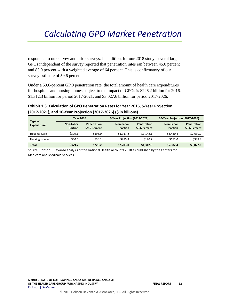responded to our survey and prior surveys. In addition, for our 2018 study, several large GPOs independent of the survey reported that penetration rates ran between 45.0 percent and 83.0 percent with a weighted average of 64 percent. This is confirmatory of our survey estimate of 59.6 percent.

Under a 59.6-percent GPO penetration rate, the total amount of health care expenditures for hospitals and nursing homes subject to the impact of GPOs is \$226.2 billion for 2016, \$1,312.3 billion for period 2017-2021, and \$3,027.6 billion for period 2017-2026.

#### **Exhibit 1.3. Calculation of GPO Penetration Rates for Year 2016, 5-Year Projection (2017-2021), and 10-Year Projection (2017-2026) (\$ in billions)**

|                               |                             | <b>Year 2016</b>                   |                             | 5-Year Projection (2017-2021) |                             | 10-Year Projection (2017-2026) |  |
|-------------------------------|-----------------------------|------------------------------------|-----------------------------|-------------------------------|-----------------------------|--------------------------------|--|
| Type of<br><b>Expenditure</b> | Non-Labor<br><b>Portion</b> | <b>Penetration</b><br>59.6 Percent | Non-Labor<br><b>Portion</b> | Penetration<br>59.6 Percent   | Non-Labor<br><b>Portion</b> | Penetration<br>59.6 Percent    |  |
| <b>Hospital Care</b>          | \$329.1                     | \$196.0                            | \$1.917.2                   | \$1.142.1                     | \$4,430.4                   | \$2,639.2                      |  |
| <b>Nursing Homes</b>          | \$50.6                      | \$30.1                             | \$285.8                     | \$170.2                       | \$652.0                     | \$388.4                        |  |
| <b>Total</b>                  | \$379.7                     | \$226.2                            | \$2,203.0                   | \$1,312.3                     | \$5.082.4                   | \$3,027.6                      |  |

Source: Dobson | DaVanzo analysis of the National Health Accounts 2018 as published by the Centers for Medicare and Medicaid Services.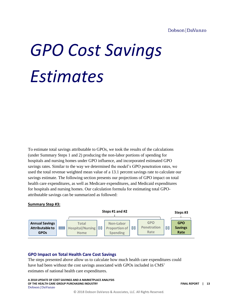#### Dobson DaVanzo

# <span id="page-15-0"></span>*GPO Cost Savings Estimates*

To estimate total savings attributable to GPOs, we took the results of the calculations (under Summary Steps 1 and 2) producing the non-labor portions of spending for hospitals and nursing homes under GPO influence, and incorporated estimated GPO savings rates. Similar to the way we determined the model's GPO penetration rates, we used the total revenue weighted mean value of a 13.1 percent savings rate to calculate our savings estimate. The following section presents our projections of GPO impact on total health care expenditures, as well as Medicare expenditures, and Medicaid expenditures for hospitals and nursing homes. Our calculation formula for estimating total GPOattributable savings can be summarized as followed:

#### **Summary Step #3:**



#### <span id="page-15-1"></span>**GPO Impact on Total Health Care Cost Savings**

The steps presented above allow us to calculate how much health care expenditures could have had been without the cost savings associated with GPOs included in CMS' estimates of national health care expenditures.

**A 2018 UPDATE OF COST SAVINGS AND A MARKETPLACE ANALYSIS OF THE HEALTH CARE GROUP PURCHASING INDUSTRY FINAL REPORT | 13** Dobson|DaVanzo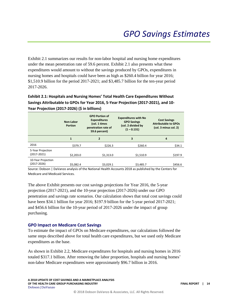Exhibit 2.1 summarizes our results for non-labor hospital and nursing home expenditures under the mean penetration rate of 59.6 percent. Exhibit 2.1 also presents what these expenditures would amount to without the savings produced by GPOs, expenditures in nursing homes and hospitals could have been as high as \$260.4 billion for year 2016; \$1,510.9 billion for the period 2017-2021; and \$3,485.7 billion for the ten-year period 2017-2026.

**Exhibit 2.1: Hospitals and Nursing Homes' Total Health Care Expenditures Without Savings Attributable to GPOs for Year 2016, 5-Year Projection (2017-2021), and 10- Year Projection (2017-2026) (\$ in billions)**

|                                       | Non-Labor<br><b>Portion</b> | <b>GPO Portion of</b><br><b>Expenditures</b><br>(col. 1 times<br>penetration rate of<br>59.6 percent) | <b>Expenditures with No</b><br><b>GPO Savings</b><br>(col. 2 divided by<br>$(1 - 0.131)$ | <b>Cost Savings</b><br><b>Attributable to GPOs</b><br>(col. 3 minus col. 2) |
|---------------------------------------|-----------------------------|-------------------------------------------------------------------------------------------------------|------------------------------------------------------------------------------------------|-----------------------------------------------------------------------------|
|                                       | 1                           | 2                                                                                                     | 3                                                                                        | 4                                                                           |
| 2016                                  | \$379.7                     | \$226.3                                                                                               | \$260.4                                                                                  | \$34.1                                                                      |
| 5-Year Projection<br>$(2017 - 2021)$  | \$2,203.0                   | \$1,313.0                                                                                             | \$1,510.9                                                                                | \$197.9                                                                     |
| 10-Year Projection<br>$(2017 - 2026)$ | \$5.082.4                   | \$3.029.1                                                                                             | \$3.485.7                                                                                | \$456.6                                                                     |

Source: Dobson | DaVanzo analysis of the National Health Accounts 2018 as published by the Centers for Medicare and Medicaid Services.

The above Exhibit presents our cost savings projections for Year 2016, the 5-year projection (2017-2021), and the 10-year projection (2017-2026) under our GPO penetration and savings rate scenarios. Our calculation shows that total cost savings could have been \$34.1 billion for year 2016; \$197.9 billion for the 5-year period 2017-2021; and \$456.6 billion for the 10-year period of 2017-2026 under the impact of group purchasing.

#### <span id="page-16-0"></span>**GPO Impact on Medicare Cost Savings**

To estimate the impact of GPOs on Medicare expenditures, our calculations followed the same steps described above for total health care expenditures, but we used only Medicare expenditures as the base.

As shown in Exhibit 2.2, Medicare expenditures for hospitals and nursing homes in 2016 totaled \$317.1 billion. After removing the labor proportion, hospitals and nursing homes' non-labor Medicare expenditures were approximately \$96.7 billion in 2016.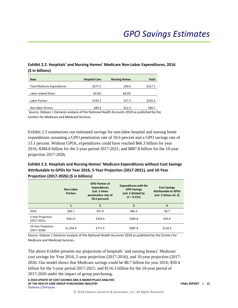#### **Exhibit 2.2. Hospitals' and Nursing Homes' Medicare Non-Labor Expenditures, 2016 (\$ in billions)**

| <b>Base</b>                        | <b>Hospital Care</b> | <b>Nursing Homes</b> | Total   |
|------------------------------------|----------------------|----------------------|---------|
| <b>Total Medicare Expenditures</b> | \$277.5              | \$39.6               | \$317.1 |
| Labor-related Share                | 69.6%                | 68.9%                |         |
| Labor Portion                      | \$193.1              | \$27.3               | \$220.4 |
| Non-labor Portion                  | \$84.4               | \$12.3               | \$96.7  |

Source: Dobson | DaVanzo analysis of the National Health Accounts 2018 as published by the Centers for Medicare and Medicaid Services.

Exhibit 2.3 summarizes our estimated savings for non-labor hospital and nursing home expenditures assuming a GPO penetration rate of 59.6 percent and a GPO savings rate of 13.1 percent. Without GPOs, expenditures could have reached \$66.3 billion for year 2016; \$384.8 billion for the 5-year period 2017-2021; and \$887.8 billion for the 10-year projection 2017-2026,

#### **Exhibit 2.3. Hospitals and Nursing Homes' Medicare Expenditures without Cost Savings Attributable to GPOs for Year 2016, 5-Year Projection (2017-2021), and 10-Year Projection (2017-2026) (\$ in billions)**

|                                       | Non-Labor<br><b>Portion</b> | <b>GPO Portion of</b><br><b>Expenditures</b><br>(col. 1 times<br>penetration rate of<br>59.6 percent) | <b>Expenditures with No</b><br><b>GPO Savings</b><br>(col. 2 divided by<br>$(1 - 0.131)$ | <b>Cost Savings</b><br><b>Attributable to GPOs</b><br>(col. 3 minus col. 2) |
|---------------------------------------|-----------------------------|-------------------------------------------------------------------------------------------------------|------------------------------------------------------------------------------------------|-----------------------------------------------------------------------------|
|                                       | 1                           | $\overline{2}$                                                                                        | 3                                                                                        | 4                                                                           |
| 2016                                  | \$96.7                      | \$57.6                                                                                                | \$66.3\$                                                                                 | \$8.7                                                                       |
| 5-Year Projection<br>$(2017 - 2021)$  | \$561.0                     | \$334.4                                                                                               | \$384.8                                                                                  | \$50.4                                                                      |
| 10-Year Projection<br>$(2017 - 2026)$ | \$1.294.4                   | \$771.5                                                                                               | \$887.8                                                                                  | \$116.3                                                                     |

Source: Dobson | DaVanzo analysis of the National Health Accounts 2018 as published by the Centers for Medicare and Medicaid Services.

The above Exhibit presents our projections of hospitals' and nursing homes' Medicare cost savings for Year 2016, 5-year projection (2017-2016), and 10-year projection (2017- 2026. Our model shows that Medicare savings could be \$8.7 billion for year 2016; \$50.4 billion for the 5-year period 2017-2021; and \$116.3 billion for the 10-year period of 2017-2026 under the impact of group purchasing.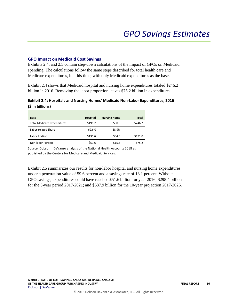#### <span id="page-18-0"></span>**GPO Impact on Medicaid Cost Savings**

Exhibits 2.4, and 2.5 contain step-down calculations of the impact of GPOs on Medicaid spending. The calculations follow the same steps described for total health care and Medicare expenditures, but this time, with only Medicaid expenditures as the base.

Exhibit 2.4 shows that Medicaid hospital and nursing home expenditures totaled \$246.2 billion in 2016. Removing the labor proportion leaves \$75.2 billion in expenditures.

#### **Exhibit 2.4: Hospitals and Nursing Homes' Medicaid Non-Labor Expenditures, 2016 (\$ in billions)**

| <b>Base</b>                        | <b>Hospital</b> | <b>Nursing Home</b> | Total   |
|------------------------------------|-----------------|---------------------|---------|
| <b>Total Medicare Expenditures</b> | \$196.2         | \$50.0              | \$246.2 |
| Labor-related Share                | 69.6%           | 68.9%               |         |
| Labor Portion                      | \$136.6         | \$34.5              | \$171.0 |
| Non-labor Portion                  | \$59.6          | \$15.6              | \$75.2  |

Source: Dobson | DaVanzo analysis of the National Health Accounts 2018 as published by the Centers for Medicare and Medicaid Services.

Exhibit 2.5 summarizes our results for non-labor hospital and nursing home expenditures under a penetration value of 59.6 percent and a savings rate of 13.1 percent. Without GPO savings, expenditures could have reached \$51.6 billion for year 2016; \$298.4 billion for the 5-year period 2017-2021; and \$687.9 billion for the 10-year projection 2017-2026.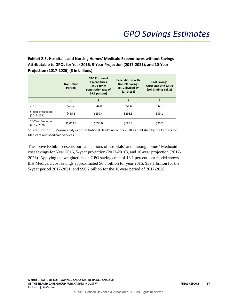**Exhibit 2.5. Hospital's and Nursing Homes' Medicaid Expenditures without Savings Attributable to GPOs for Year 2016, 5-Year Projection (2017-2021), and 10-Year Projection (2017-2026) (\$ in billions)**

|                                      | Non-Labor<br><b>Portion</b> | <b>GPO Portion of</b><br><b>Expenditures</b><br>(col. 1 times<br>penetration rate of<br>59.6 percent) | <b>Expenditures with</b><br><b>No GPO Savings</b><br>col. 2 divided by<br>$(1 - 0.131)$ | <b>Cost Savings</b><br><b>Attributable to GPOs</b><br>(col. 3 minus col. 2) |
|--------------------------------------|-----------------------------|-------------------------------------------------------------------------------------------------------|-----------------------------------------------------------------------------------------|-----------------------------------------------------------------------------|
|                                      | 1                           | 2                                                                                                     | 3                                                                                       | 4                                                                           |
| 2016                                 | \$75.2                      | \$44.8                                                                                                | \$51.6                                                                                  | \$6.8\$                                                                     |
| 5-Year Projection<br>$(2017 - 2021)$ | \$435.3                     | \$259.4                                                                                               | \$298.5                                                                                 | \$39.1                                                                      |
| 10-Year Projection<br>(2017-2026)    | \$1,003.4                   | \$598.0                                                                                               | \$688.2                                                                                 | \$90.2                                                                      |

Source: Dobson | DaVanzo analysis of the National Health Accounts 2018 as published by the Centers for Medicare and Medicaid Services.

The above Exhibit presents our calculations of hospitals' and nursing homes' Medicaid cost savings for Year 2016, 5-year projection (2017-2016), and 10-year projection (2017- 2026). Applying the weighted mean GPO savings rate of 13.1 percent, our model shows that Medicaid cost savings approximated \$6.8 billion for year 2016; \$39.1 billion for the 5-year period 2017-2021; and \$90.2 billion for the 10-year period of 2017-2026.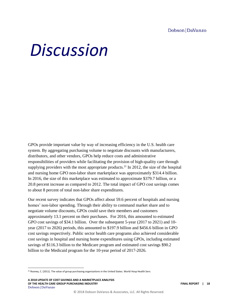#### Dobson DaVanzo

## <span id="page-20-0"></span>*Discussion*

GPOs provide important value by way of increasing efficiency in the U.S. health care system. By aggregating purchasing volume to negotiate discounts with manufacturers, distributors, and other vendors, GPOs help reduce costs and administrative responsibilities of providers while facilitating the provision of high-quality care through supplying providers with the most appropriate products.<sup>21</sup> In 2012, the size of the hospital and nursing home GPO non-labor share marketplace was approximately \$314.4 billion. In 2016, the size of this marketplace was estimated to approximate \$379.7 billion, or a 20.8 percent increase as compared to 2012. The total impact of GPO cost savings comes to about 8 percent of total non-labor share expenditures.

Our recent survey indicates that GPOs affect about 59.6 percent of hospitals and nursing homes' non-labor spending. Through their ability to command market share and to negotiate volume discounts, GPOs could save their members and customers approximately 13.1 percent on their purchases. For 2016, this amounted to estimated GPO cost savings of \$34.1 billion. Over the subsequent 5-year (2017 to 2021) and 10 year (2017 to 2026) periods, this amounted to \$197.9 billion and \$456.6 billion in GPO cost savings respectively. Public sector health care programs also achieved considerable cost savings in hospital and nursing home expenditures using GPOs, including estimated savings of \$116.3 billion to the Medicare program and estimated cost savings \$90.2 billion to the Medicaid program for the 10-year period of 2017-2026.

l

<sup>&</sup>lt;sup>21</sup> Rooney, C. (2011). The value of group purchasing organizations in the United States. World Hosp Health Serv.